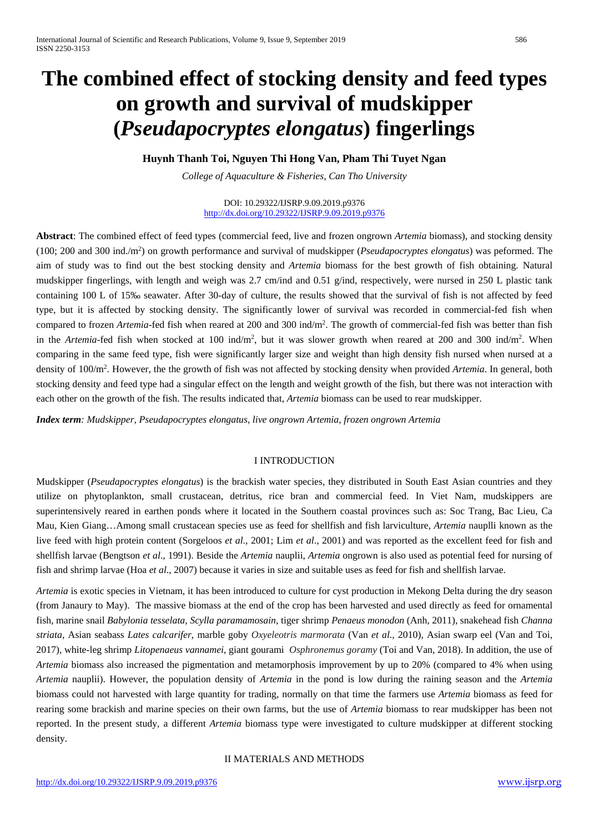# **The combined effect of stocking density and feed types on growth and survival of mudskipper (***Pseudapocryptes elongatus***) fingerlings**

**Huynh Thanh Toi, Nguyen Thi Hong Van, Pham Thi Tuyet Ngan**

*College of Aquaculture & Fisheries, Can Tho University*

DOI: 10.29322/IJSRP.9.09.2019.p9376 <http://dx.doi.org/10.29322/IJSRP.9.09.2019.p9376>

**Abstract**: The combined effect of feed types (commercial feed, live and frozen ongrown *Artemia* biomass), and stocking density (100; 200 and 300 ind./m2 ) on growth performance and survival of mudskipper (*Pseudapocryptes elongatus*) was peformed. The aim of study was to find out the best stocking density and *Artemia* biomass for the best growth of fish obtaining. Natural mudskipper fingerlings, with length and weigh was 2.7 cm/ind and 0.51 g/ind, respectively, were nursed in 250 L plastic tank containing 100 L of 15‰ seawater. After 30-day of culture, the results showed that the survival of fish is not affected by feed type, but it is affected by stocking density. The significantly lower of survival was recorded in commercial-fed fish when compared to frozen *Artemia*-fed fish when reared at 200 and 300 ind/m2 . The growth of commercial-fed fish was better than fish in the *Artemia*-fed fish when stocked at 100 ind/m<sup>2</sup>, but it was slower growth when reared at 200 and 300 ind/m<sup>2</sup>. When comparing in the same feed type, fish were significantly larger size and weight than high density fish nursed when nursed at a density of 100/m2 . However, the the growth of fish was not affected by stocking density when provided *Artemia*. In general, both stocking density and feed type had a singular effect on the length and weight growth of the fish, but there was not interaction with each other on the growth of the fish. The results indicated that, *Artemia* biomass can be used to rear mudskipper.

*Index term: Mudskipper, Pseudapocryptes elongatus, live ongrown Artemia, frozen ongrown Artemia*

# I INTRODUCTION

Mudskipper (*Pseudapocryptes elongatus*) is the brackish water species, they distributed in South East Asian countries and they utilize on phytoplankton, small crustacean, detritus, rice bran and commercial feed. In Viet Nam, mudskippers are superintensively reared in earthen ponds where it located in the Southern coastal provinces such as: Soc Trang, Bac Lieu, Ca Mau, Kien Giang…Among small crustacean species use as feed for shellfish and fish larviculture, *Artemia* nauplli known as the live feed with high protein content (Sorgeloos *et al*., 2001; Lim *et al*., 2001) and was reported as the excellent feed for fish and shellfish larvae (Bengtson *et al*., 1991). Beside the *Artemia* nauplii, *Artemia* ongrown is also used as potential feed for nursing of fish and shrimp larvae (Hoa *et al*., 2007) because it varies in size and suitable uses as feed for fish and shellfish larvae.

*Artemia* is exotic species in Vietnam, it has been introduced to culture for cyst production in Mekong Delta during the dry season (from Janaury to May). The massive biomass at the end of the crop has been harvested and used directly as feed for ornamental fish, marine snail *Babylonia tesselata*, *Scylla paramamosain*, tiger shrimp *Penaeus monodon* (Anh, 2011), snakehead fish *Channa striata*, Asian seabass *Lates calcarifer*, marble goby *Oxyeleotris marmorata* (Van *et al*., 2010), Asian swarp eel (Van and Toi, 2017), white-leg shrimp *Litopenaeus vannamei*, giant gourami *Osphronemus goramy* (Toi and Van, 2018). In addition, the use of *Artemia* biomass also increased the pigmentation and metamorphosis improvement by up to 20% (compared to 4% when using *Artemia* nauplii). However, the population density of *Artemia* in the pond is low during the raining season and the *Artemia* biomass could not harvested with large quantity for trading, normally on that time the farmers use *Artemia* biomass as feed for rearing some brackish and marine species on their own farms, but the use of *Artemia* biomass to rear mudskipper has been not reported. In the present study, a different *Artemia* biomass type were investigated to culture mudskipper at different stocking density.

II MATERIALS AND METHODS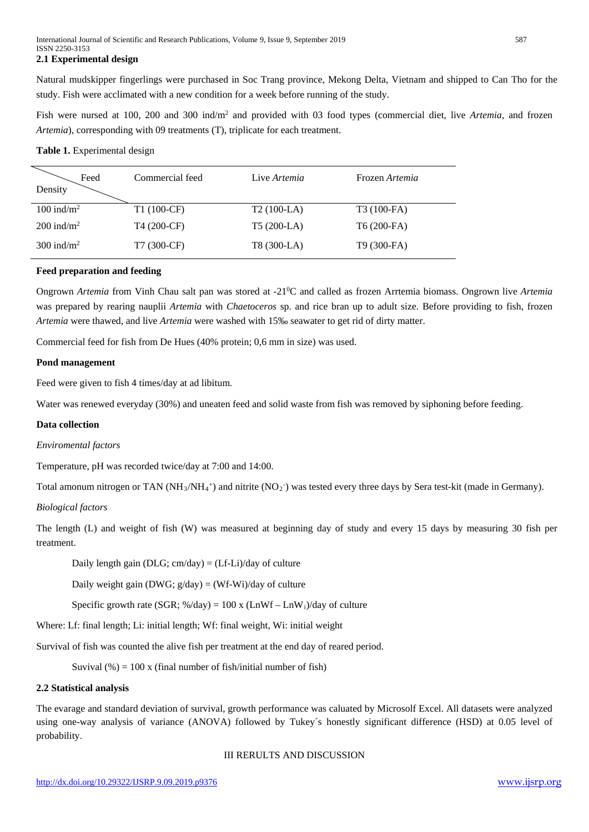## **2.1 Experimental design**

Natural mudskipper fingerlings were purchased in Soc Trang province, Mekong Delta, Vietnam and shipped to Can Tho for the study. Fish were acclimated with a new condition for a week before running of the study.

Fish were nursed at 100, 200 and 300 ind/m2 and provided with 03 food types (commercial diet, live *Artemia*, and frozen *Artemia*), corresponding with 09 treatments (T), triplicate for each treatment.

#### **Table 1.** Experimental design

| Feed<br>Density          | Commercial feed | Live Artemia | Frozen Artemia          |
|--------------------------|-----------------|--------------|-------------------------|
| $100$ ind/m <sup>2</sup> | $T1(100-CF)$    | $T2(100-LA)$ | T3 (100-FA)             |
| $200 \text{ ind/m}^2$    | T4 (200-CF)     | $T5(200-LA)$ | $T6(200-FA)$            |
| $300$ ind/m <sup>2</sup> | T7 (300-CF)     | T8 (300-LA)  | T <sub>9</sub> (300-FA) |

#### **Feed preparation and feeding**

Ongrown Artemia from Vinh Chau salt pan was stored at -21<sup>0</sup>C and called as frozen Arrtemia biomass. Ongrown live Artemia was prepared by rearing nauplii *Artemia* with *Chaetoceros* sp. and rice bran up to adult size. Before providing to fish, frozen *Artemia* were thawed, and live *Artemia* were washed with 15‰ seawater to get rid of dirty matter.

Commercial feed for fish from De Hues (40% protein; 0,6 mm in size) was used.

#### **Pond management**

Feed were given to fish 4 times/day at ad libitum.

Water was renewed everyday (30%) and uneaten feed and solid waste from fish was removed by siphoning before feeding.

#### **Data collection**

#### *Enviromental factors*

Temperature, pH was recorded twice/day at 7:00 and 14:00.

Total amonum nitrogen or TAN (NH<sub>3</sub>/NH<sub>4</sub><sup>+</sup>) and nitrite (NO<sub>2</sub><sup>-</sup>) was tested every three days by Sera test-kit (made in Germany).

#### *Biological factors*

The length (L) and weight of fish (W) was measured at beginning day of study and every 15 days by measuring 30 fish per treatment.

Daily length gain (DLG;  $cm/day$ ) = (Lf-Li)/day of culture

Daily weight gain (DWG;  $g/day$ ) = (Wf-Wi)/day of culture

Specific growth rate (SGR; %/day) =  $100 \text{ x } (\text{LnWf} - \text{LnW}_i)/\text{day}$  of culture

Where: Lf: final length; Li: initial length; Wf: final weight, Wi: initial weight

Survival of fish was counted the alive fish per treatment at the end day of reared period.

Suvival  $(\% ) = 100 \times ($ final number of fish/initial number of fish)

#### **2.2 Statistical analysis**

The evarage and standard deviation of survival, growth performance was caluated by Microsolf Excel. All datasets were analyzed using one-way analysis of variance (ANOVA) followed by Tukey´s honestly significant difference (HSD) at 0.05 level of probability.

III RERULTS AND DISCUSSION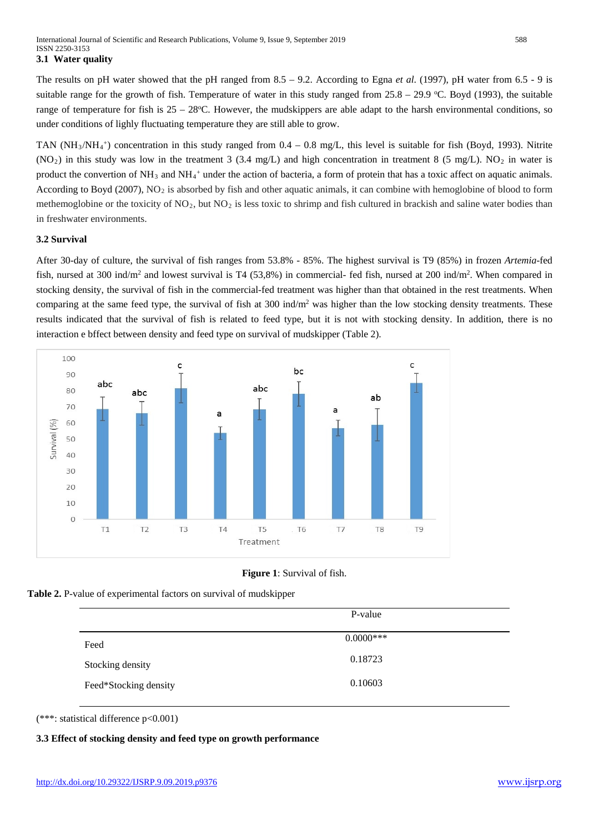## **3.1 Water quality**

The results on pH water showed that the pH ranged from  $8.5 - 9.2$ . According to Egna *et al.* (1997), pH water from 6.5 - 9 is suitable range for the growth of fish. Temperature of water in this study ranged from  $25.8 - 29.9$  °C. Boyd (1993), the suitable range of temperature for fish is  $25 - 28$ °C. However, the mudskippers are able adapt to the harsh environmental conditions, so under conditions of lighly fluctuating temperature they are still able to grow.

TAN (NH<sub>3</sub>/NH<sub>4</sub><sup>+</sup>) concentration in this study ranged from  $0.4 - 0.8$  mg/L, this level is suitable for fish (Boyd, 1993). Nitrite  $(NO<sub>2</sub>)$  in this study was low in the treatment 3 (3.4 mg/L) and high concentration in treatment 8 (5 mg/L). NO<sub>2</sub> in water is product the convertion of NH<sub>3</sub> and NH<sub>4</sub><sup>+</sup> under the action of bacteria, a form of protein that has a toxic affect on aquatic animals. According to Boyd (2007), NO<sub>2</sub> is absorbed by fish and other aquatic animals, it can combine with hemoglobine of blood to form methemoglobine or the toxicity of  $NO<sub>2</sub>$ , but  $NO<sub>2</sub>$  is less toxic to shrimp and fish cultured in brackish and saline water bodies than in freshwater environments.

# **3.2 Survival**

After 30-day of culture, the survival of fish ranges from 53.8% - 85%. The highest survival is T9 (85%) in frozen *Artemia*-fed fish, nursed at 300 ind/m<sup>2</sup> and lowest survival is T4 (53,8%) in commercial- fed fish, nursed at 200 ind/m<sup>2</sup>. When compared in stocking density, the survival of fish in the commercial-fed treatment was higher than that obtained in the rest treatments. When comparing at the same feed type, the survival of fish at 300 ind/m<sup>2</sup> was higher than the low stocking density treatments. These results indicated that the survival of fish is related to feed type, but it is not with stocking density. In addition, there is no interaction e bffect between density and feed type on survival of mudskipper (Table 2).



**Figure 1**: Survival of fish.



|                       | P-value      |  |
|-----------------------|--------------|--|
| Feed                  | $0.0000$ *** |  |
| Stocking density      | 0.18723      |  |
| Feed*Stocking density | 0.10603      |  |

(\*\*\*: statistical difference p<0.001)

# **3.3 Effect of stocking density and feed type on growth performance**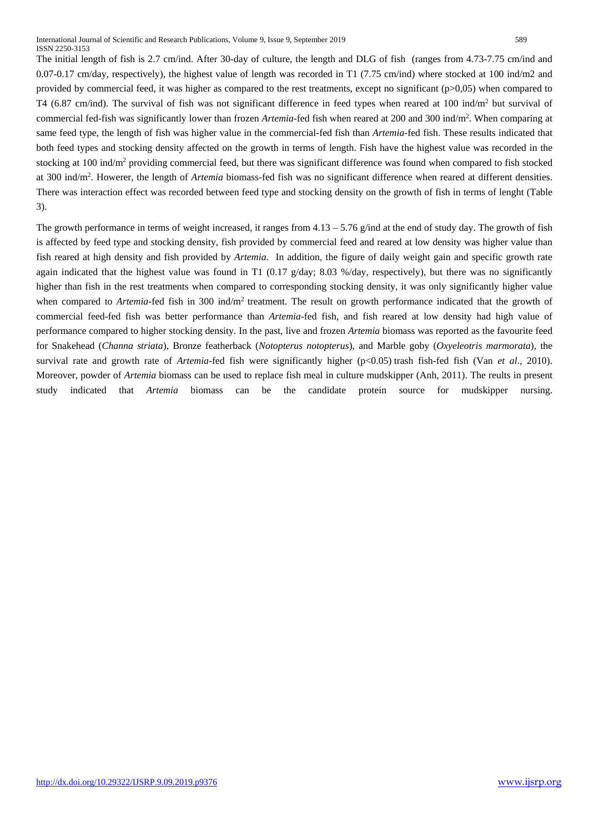The initial length of fish is 2.7 cm/ind. After 30-day of culture, the length and DLG of fish (ranges from 4.73-7.75 cm/ind and 0.07-0.17 cm/day, respectively), the highest value of length was recorded in T1 (7.75 cm/ind) where stocked at 100 ind/m2 and provided by commercial feed, it was higher as compared to the rest treatments, except no significant ( $p>0.05$ ) when compared to T4 (6.87 cm/ind). The survival of fish was not significant difference in feed types when reared at 100 ind/m<sup>2</sup> but survival of commercial fed-fish was significantly lower than frozen *Artemia*-fed fish when reared at 200 and 300 ind/m2 . When comparing at same feed type, the length of fish was higher value in the commercial-fed fish than *Artemia*-fed fish. These results indicated that both feed types and stocking density affected on the growth in terms of length. Fish have the highest value was recorded in the stocking at 100 ind/m2 providing commercial feed, but there was significant difference was found when compared to fish stocked at 300 ind/m<sup>2</sup>. Howerer, the length of *Artemia* biomass-fed fish was no significant difference when reared at different densities. There was interaction effect was recorded between feed type and stocking density on the growth of fish in terms of lenght (Table 3).

The growth performance in terms of weight increased, it ranges from  $4.13 - 5.76$  g/ind at the end of study day. The growth of fish is affected by feed type and stocking density, fish provided by commercial feed and reared at low density was higher value than fish reared at high density and fish provided by *Artemia*. In addition, the figure of daily weight gain and specific growth rate again indicated that the highest value was found in T1 (0.17  $g/day$ ; 8.03 %/day, respectively), but there was no significantly higher than fish in the rest treatments when compared to corresponding stocking density, it was only significantly higher value when compared to *Artemia*-fed fish in 300 ind/m<sup>2</sup> treatment. The result on growth performance indicated that the growth of commercial feed-fed fish was better performance than *Artemia*-fed fish, and fish reared at low density had high value of performance compared to higher stocking density. In the past, live and frozen *Artemia* biomass was reported as the favourite feed for Snakehead (*Channa striata*), Bronze featherback (*Notopterus notopterus*), and Marble goby (*Oxyeleotris marmorata*), the survival rate and growth rate of *Artemia*-fed fish were significantly higher (p<0.05) trash fish-fed fish (Van *et al*., 2010). Moreover, powder of *Artemia* biomass can be used to replace fish meal in culture mudskipper (Anh, 2011). The reults in present study indicated that *Artemia* biomass can be the candidate protein source for mudskipper nursing.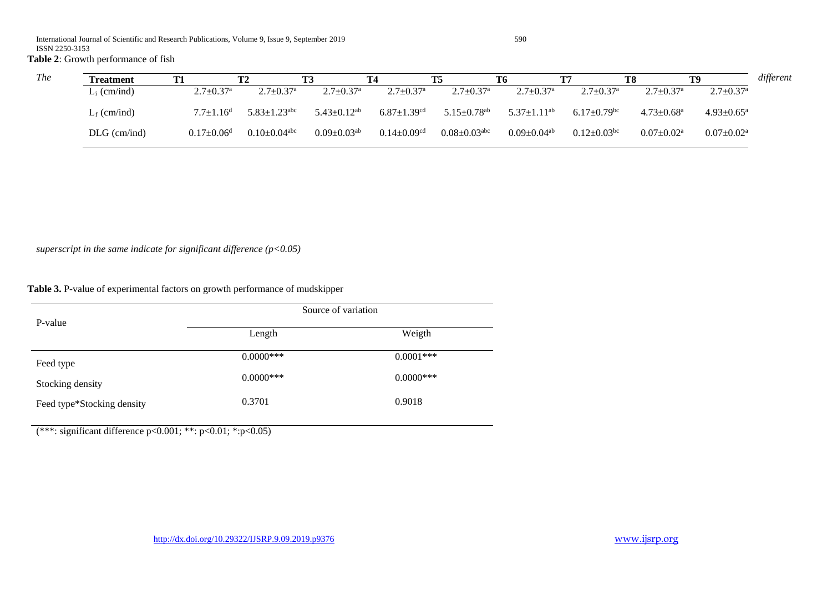# **Table 2**: Growth performance of fish

| The | <b>Treatment</b> | T1                           | T <sub>2</sub>                 |                               | T4                            | T5                             | T6                            |                               | T8                           | T9 T                        | different |
|-----|------------------|------------------------------|--------------------------------|-------------------------------|-------------------------------|--------------------------------|-------------------------------|-------------------------------|------------------------------|-----------------------------|-----------|
|     | $L_i$ (cm/ind)   | $2.7 \pm 0.37$ <sup>a</sup>  | $2.7 \pm 0.37$ <sup>a</sup>    | $2.7 \pm 0.37^{\rm a}$        | $2.7 \pm 0.37$ <sup>a</sup>   | $2.7 \pm 0.37$ <sup>a</sup>    | $2.7 \pm 0.37$ <sup>a</sup>   | $2.7 \pm 0.37$ <sup>a</sup>   | $2.7 \pm 0.37$ <sup>a</sup>  | $2.7 \pm 0.37$ <sup>a</sup> |           |
|     | $L_f$ (cm/ind)   | $7.7 \pm 1.16^{\rm d}$       | $5.83 \pm 1.23$ <sup>abc</sup> | $5.43 \pm 0.12^{ab}$          | $6.87 \pm 1.39$ <sup>cd</sup> | $5.15 \pm 0.78$ <sup>ab</sup>  | 5.37 $\pm$ 1.11 <sup>ab</sup> | $6.17 \pm 0.79$ <sup>bc</sup> | $4.73 \pm 0.68$ <sup>a</sup> | $4.93 \pm 0.65^{\text{a}}$  |           |
|     | $DLG$ (cm/ind)   | $0.17 \pm 0.06$ <sup>d</sup> | $0.10 \pm 0.04$ <sup>abc</sup> | $0.09 \pm 0.03$ <sup>ab</sup> | $0.14 \pm 0.09$ <sup>cd</sup> | $0.08 \pm 0.03$ <sup>abc</sup> | $0.09+0.04^{ab}$              | $0.12 \pm 0.03$ <sup>bc</sup> | $0.07 \pm 0.02^a$            | $0.07 \pm 0.02^{\text{a}}$  |           |

*superscript in the same indicate for significant difference (p<0.05)*

**Table 3.** P-value of experimental factors on growth performance of mudskipper

|                            | Source of variation |              |  |  |  |
|----------------------------|---------------------|--------------|--|--|--|
| P-value                    | Length              | Weigth       |  |  |  |
| Feed type                  | $0.0000***$         | $0.0001***$  |  |  |  |
| Stocking density           | $0.0000$ ***        | $0.0000$ *** |  |  |  |
| Feed type*Stocking density | 0.3701              | 0.9018       |  |  |  |

(\*\*\*: significant difference p<0.001; \*\*: p<0.01; \*:p<0.05)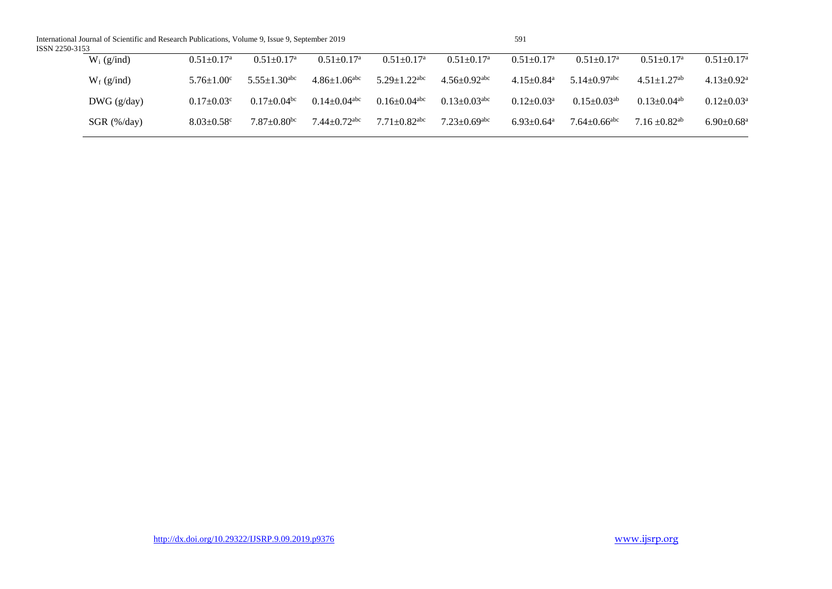International Journal of Scientific and Research Publications, Volume 9, Issue 9, September 2019 591 ISSN 2250-3153

| ۰,<br>I<br>۰.<br>-<br>۰. |  |
|--------------------------|--|

| $W_i$ (g/ind) | $0.51 \pm 0.17^{\rm a}$      | $0.51 \pm 0.17$ <sup>a</sup>   | $0.51 \pm 0.17^{\rm a}$        | $0.51 \pm 0.17^{\text{a}}$     | $0.51 \pm 0.17$ <sup>a</sup>   | $0.51 \pm 0.17^{\rm a}$      | $0.51 \pm 0.17$ <sup>a</sup>   | $0.51 \pm 0.17^{\text{a}}$    | $0.51 \pm 0.17^{\rm a}$      |
|---------------|------------------------------|--------------------------------|--------------------------------|--------------------------------|--------------------------------|------------------------------|--------------------------------|-------------------------------|------------------------------|
| $W_f$ (g/ind) | $5.76 \pm 1.00$ <sup>c</sup> | $5.55 \pm 1.30$ <sup>abc</sup> | $4.86 \pm 1.06$ <sup>abc</sup> | $5.29 \pm 1.22$ <sup>abc</sup> | $4.56 \pm 0.92$ <sup>abc</sup> | $4.15 \pm 0.84$ <sup>a</sup> | $5.14 \pm 0.97$ <sup>abc</sup> | $4.51 \pm 1.27$ <sup>ab</sup> | $4.13 \pm 0.92$ <sup>a</sup> |
| $DWG$ (g/day) | $0.17 \pm 0.03$ <sup>c</sup> | $0.17 \pm 0.04$ <sup>bc</sup>  | $0.14 \pm 0.04$ <sup>abc</sup> | $0.16 \pm 0.04$ <sup>abc</sup> | $0.13 \pm 0.03$ <sup>abc</sup> | $0.12 \pm 0.03^{\text{a}}$   | $0.15 \pm 0.03$ <sup>ab</sup>  | $0.13 \pm 0.04$ <sup>ab</sup> | $0.12 \pm 0.03$ <sup>a</sup> |
| $SGR$ (%/day) | $8.03 \pm 0.58$ <sup>c</sup> | $7.87 \pm 0.80$ <sup>bc</sup>  | $7.44 \pm 0.72$ <sup>abc</sup> | $7.71 \pm 0.82$ <sup>abc</sup> | $7.23 \pm 0.69$ <sup>abc</sup> | $6.93 \pm 0.64$ <sup>a</sup> | $7.64 \pm 0.66$ <sup>abc</sup> | $7.16 \pm 0.82$ <sup>ab</sup> | $6.90 \pm 0.68$ <sup>a</sup> |
|               |                              |                                |                                |                                |                                |                              |                                |                               |                              |